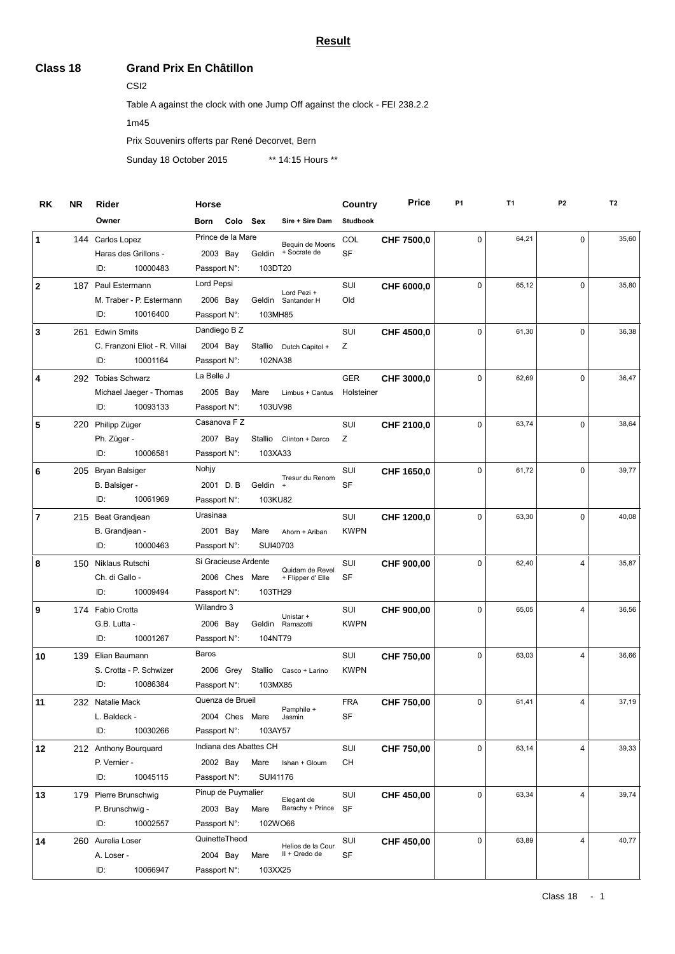## **Result**

## **Class 18 Grand Prix En Châtillon**

CSI2

Table A against the clock with one Jump Off against the clock - FEI 238.2.2

1m45

Prix Souvenirs offerts par René Decorvet, Bern

Sunday 18 October 2015 \*\* 14:15 Hours \*\*

| RK             | <b>NR</b> | Rider                         | Horse                  |                     | Country         | <b>Price</b> | P <sub>1</sub> | T <sub>1</sub> | P <sub>2</sub> | T <sub>2</sub> |
|----------------|-----------|-------------------------------|------------------------|---------------------|-----------------|--------------|----------------|----------------|----------------|----------------|
|                |           | Owner                         | Colo Sex<br>Born       | Sire + Sire Dam     | <b>Studbook</b> |              |                |                |                |                |
| 1              |           | 144 Carlos Lopez              | Prince de la Mare      | Bequin de Moens     | COL             | CHF 7500,0   | 0              | 64,21          | $\mathbf 0$    | 35,60          |
|                |           | Haras des Grillons -          | 2003 Bay<br>Geldin     | + Socrate de        | SF              |              |                |                |                |                |
|                |           | ID:<br>10000483               | Passport N:            | 103DT20             |                 |              |                |                |                |                |
| $\mathbf{2}$   |           | 187 Paul Estermann            | Lord Pepsi             | Lord Pezi +         | SUI             | CHF 6000,0   | 0              | 65,12          | $\mathbf 0$    | 35,80          |
|                |           | M. Traber - P. Estermann      | 2006 Bay               | Geldin Santander H  | Old             |              |                |                |                |                |
|                |           | ID:<br>10016400               | Passport N:            | 103MH85             |                 |              |                |                |                |                |
| 3              |           | 261 Edwin Smits               | Dandiego B Z           |                     | SUI             | CHF 4500,0   | 0              | 61,30          | $\mathbf 0$    | 36,38          |
|                |           | C. Franzoni Eliot - R. Villai | 2004 Bay<br>Stallio    | Dutch Capitol +     | Ζ               |              |                |                |                |                |
|                |           | ID:<br>10001164               | Passport N:            | 102NA38             |                 |              |                |                |                |                |
| 4              | 292       | <b>Tobias Schwarz</b>         | La Belle J             |                     | <b>GER</b>      | CHF 3000,0   | $\Omega$       | 62,69          | $\mathbf 0$    | 36,47          |
|                |           | Michael Jaeger - Thomas       | 2005 Bay<br>Mare       | Limbus + Cantus     | Holsteiner      |              |                |                |                |                |
|                |           | ID:<br>10093133               | Passport N:            | 103UV98             |                 |              |                |                |                |                |
| 5              |           | 220 Philipp Züger             | Casanova F Z           |                     | SUI             | CHF 2100,0   | 0              | 63,74          | $\mathbf 0$    | 38,64          |
|                |           | Ph. Züger -                   | 2007 Bay<br>Stallio    | Clinton + Darco     | Ζ               |              |                |                |                |                |
|                |           | 10006581<br>ID:               | Passport N:            | 103XA33             |                 |              |                |                |                |                |
| 6              |           | 205 Bryan Balsiger            | Nohjy                  | Tresur du Renom     | SUI             | CHF 1650,0   | 0              | 61,72          | $\mathbf 0$    | 39,77          |
|                |           | B. Balsiger -                 | 2001 D.B               | Geldin<br>$+$       | SF              |              |                |                |                |                |
|                |           | 10061969<br>ID:               | Passport N:            | 103KU82             |                 |              |                |                |                |                |
| $\overline{7}$ |           | 215 Beat Grandjean            | Urasinaa               |                     | SUI             | CHF 1200,0   | 0              | 63,30          | $\Omega$       | 40,08          |
|                |           | B. Grandjean -                | 2001 Bay<br>Mare       | Ahorn + Ariban      | <b>KWPN</b>     |              |                |                |                |                |
|                |           | ID:<br>10000463               | Passport N:            | SUI40703            |                 |              |                |                |                |                |
| 8              |           | 150 Niklaus Rutschi           | Si Gracieuse Ardente   | Quidam de Revel     | SUI             | CHF 900,00   | 0              | 62,40          | 4              | 35,87          |
|                |           | Ch. di Gallo -                | 2006 Ches<br>Mare      | + Flipper d' Elle   | SF              |              |                |                |                |                |
|                |           | ID:<br>10009494               | Passport N:            | 103TH29             |                 |              |                |                |                |                |
| 9              |           | 174 Fabio Crotta              | Wilandro 3             | Unistar +           | SUI             | CHF 900,00   | 0              | 65,05          | $\overline{4}$ | 36,56          |
|                |           | G.B. Lutta -                  | 2006 Bay               | Geldin Ramazotti    | <b>KWPN</b>     |              |                |                |                |                |
|                |           | ID:<br>10001267               | Passport N:            | 104NT79             |                 |              |                |                |                |                |
| 10             |           | 139 Elian Baumann             | Baros                  |                     | SUI             | CHF 750,00   | 0              | 63,03          | 4              | 36,66          |
|                |           | S. Crotta - P. Schwizer       | 2006 Grey<br>Stallio   | Casco + Larino      | <b>KWPN</b>     |              |                |                |                |                |
|                |           | ID:<br>10086384               | Passport N:            | 103MX85             |                 |              |                |                |                |                |
| 11             |           | 232 Natalie Mack              | Quenza de Brueil       | Pamphile +          | <b>FRA</b>      | CHF 750,00   | 0              | 61,41          | 4              | 37,19          |
|                |           | L. Baldeck -                  | 2004 Ches Mare         | Jasmin              | SF              |              |                |                |                |                |
|                |           | 10030266<br>ID:               | Passport N:            | 103AY57             |                 |              |                |                |                |                |
| 12             |           | 212 Anthony Bourquard         | Indiana des Abattes CH |                     | SUI             | CHF 750,00   | 0              | 63,14          | $\overline{4}$ | 39,33          |
|                |           | P. Vernier -                  | 2002 Bay<br>Mare       | Ishan + Gloum       | CН              |              |                |                |                |                |
|                |           | 10045115<br>ID:               | Passport N:            | SUI41176            |                 |              |                |                |                |                |
| 13             |           | 179 Pierre Brunschwig         | Pinup de Puymalier     | Elegant de          | SUI             | CHF 450,00   | 0              | 63,34          | $\overline{4}$ | 39,74          |
|                |           | P. Brunschwig -               | 2003 Bay<br>Mare       | Barachy + Prince SF |                 |              |                |                |                |                |
|                |           | ID:<br>10002557               | Passport N:            | 102WO66             |                 |              |                |                |                |                |
| 14             |           | 260 Aurelia Loser             | QuinetteTheod          | Helios de la Cour   | SUI             | CHF 450,00   | 0              | 63,89          | $\overline{4}$ | 40,77          |
|                |           | A. Loser -                    | 2004 Bay<br>Mare       | II + Qredo de       | <b>SF</b>       |              |                |                |                |                |
|                |           | ID:<br>10066947               | Passport N:            | 103XX25             |                 |              |                |                |                |                |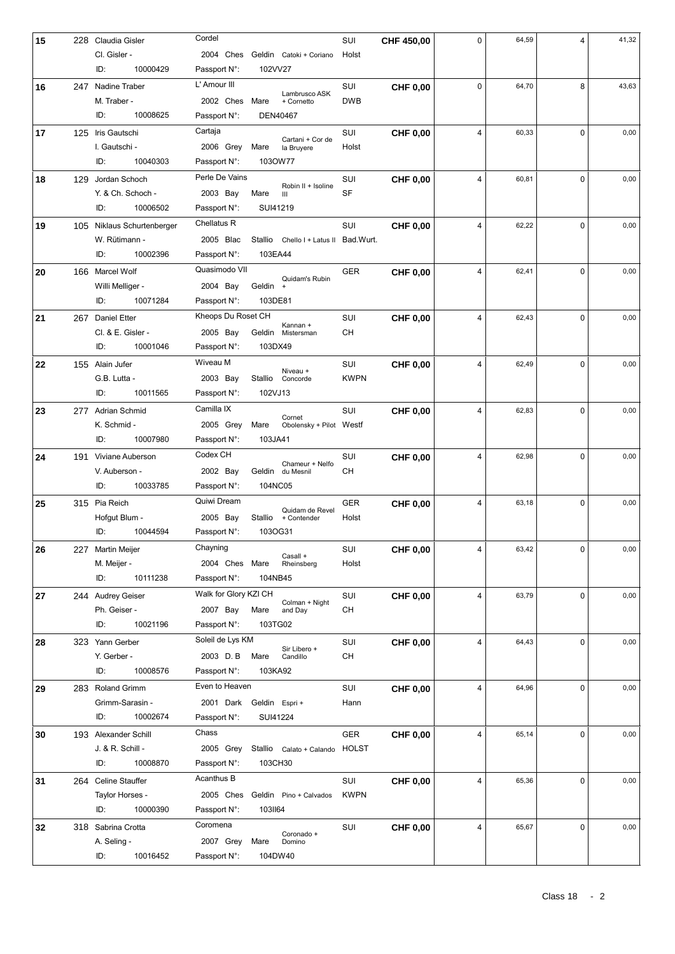| 15 |     | 228 Claudia Gisler     | Cordel                                                 | SUI         | CHF 450,00      | 0 | 64,59 | $\overline{4}$ | 41,32 |
|----|-----|------------------------|--------------------------------------------------------|-------------|-----------------|---|-------|----------------|-------|
|    |     | Cl. Gisler -           | 2004 Ches Geldin Catoki + Coriano                      | Holst       |                 |   |       |                |       |
|    |     | 10000429<br>ID:        | Passport N:<br>102VV27                                 |             |                 |   |       |                |       |
| 16 |     | 247 Nadine Traber      | L' Amour III                                           | SUI         | <b>CHF 0,00</b> | 0 | 64,70 | 8              | 43,63 |
|    |     | M. Traber -            | Lambrusco ASK<br>2002 Ches Mare<br>+ Cornetto          | <b>DWB</b>  |                 |   |       |                |       |
|    |     | 10008625<br>ID:        | Passport N:<br>DEN40467                                |             |                 |   |       |                |       |
| 17 |     | 125 Iris Gautschi      | Cartaja                                                | SUI         | <b>CHF 0,00</b> | 4 | 60,33 | $\Omega$       | 0,00  |
|    |     | I. Gautschi -          | Cartani + Cor de<br>2006 Grey<br>Mare<br>la Bruyere    | Holst       |                 |   |       |                |       |
|    |     | 10040303<br>ID:        | Passport N:<br>1030W77                                 |             |                 |   |       |                |       |
| 18 |     | 129 Jordan Schoch      | Perle De Vains                                         | SUI         | <b>CHF 0,00</b> | 4 | 60,81 | $\Omega$       | 0,00  |
|    |     | Y. & Ch. Schoch -      | Robin II + Isoline<br>2003 Bay<br>Mare<br>Ш            | <b>SF</b>   |                 |   |       |                |       |
|    |     | ID:<br>10006502        | SUI41219<br>Passport N:                                |             |                 |   |       |                |       |
| 19 | 105 | Niklaus Schurtenberger | Chellatus R                                            | SUI         | <b>CHF 0,00</b> | 4 | 62,22 | $\Omega$       | 0,00  |
|    |     | W. Rütimann -          | 2005 Blac<br>Chello I + Latus II Bad. Wurt.<br>Stallio |             |                 |   |       |                |       |
|    |     | ID:<br>10002396        | 103EA44<br>Passport N:                                 |             |                 |   |       |                |       |
| 20 |     | 166 Marcel Wolf        | Quasimodo VII                                          | <b>GER</b>  | <b>CHF 0.00</b> | 4 | 62,41 | $\Omega$       | 0,00  |
|    |     | Willi Melliger -       | Quidam's Rubin<br>2004 Bay<br>Geldin +                 |             |                 |   |       |                |       |
|    |     | ID:<br>10071284        | 103DE81<br>Passport N:                                 |             |                 |   |       |                |       |
| 21 |     | 267 Daniel Etter       | Kheops Du Roset CH                                     | SUI         | <b>CHF 0,00</b> | 4 | 62,43 | 0              | 0,00  |
|    |     | Cl. & E. Gisler -      | Kannan +<br>2005 Bay<br>Geldin<br>Mistersman           | CН          |                 |   |       |                |       |
|    |     | ID:<br>10001046        | Passport N:<br>103DX49                                 |             |                 |   |       |                |       |
| 22 |     | 155 Alain Jufer        | Wiveau M                                               | SUI         | <b>CHF 0,00</b> | 4 | 62,49 | $\Omega$       | 0,00  |
|    |     | G.B. Lutta -           | Niveau +<br>2003 Bay<br>Stallio<br>Concorde            | <b>KWPN</b> |                 |   |       |                |       |
|    |     | 10011565<br>ID:        | Passport N:<br>102VJ13                                 |             |                 |   |       |                |       |
| 23 |     | 277 Adrian Schmid      | Camilla IX                                             | SUI         | <b>CHF 0,00</b> | 4 | 62,83 | $\Omega$       | 0,00  |
|    |     | K. Schmid -            | Cornet<br>2005 Grey<br>Mare<br>Obolensky + Pilot Westf |             |                 |   |       |                |       |
|    |     | ID:<br>10007980        | 103JA41<br>Passport N:                                 |             |                 |   |       |                |       |
| 24 | 191 | Viviane Auberson       | Codex CH                                               | SUI         | <b>CHF 0,00</b> | 4 | 62,98 | $\Omega$       | 0,00  |
|    |     | V. Auberson -          | Chameur + Nelfo<br>2002 Bay<br>Geldin du Mesnil        | CН          |                 |   |       |                |       |
|    |     | ID:<br>10033785        | Passport N:<br>104NC05                                 |             |                 |   |       |                |       |
| 25 |     | 315 Pia Reich          | Quiwi Dream                                            | <b>GER</b>  | <b>CHF 0,00</b> | 4 | 63,18 | $\Omega$       | 0,00  |
|    |     | Hofgut Blum -          | Quidam de Revel<br>2005 Bay<br>Stallio<br>+ Contender  | Holst       |                 |   |       |                |       |
|    |     | ID:<br>10044594        | 103OG31<br>Passport N:                                 |             |                 |   |       |                |       |
| 26 |     | 227 Martin Meijer      | Chayning                                               | SUI         | <b>CHF 0,00</b> | 4 | 63,42 | 0              | 0,00  |
|    |     | M. Meijer -            | Casall +<br>2004 Ches Mare<br>Rheinsberg               | Holst       |                 |   |       |                |       |
|    |     | ID:<br>10111238        | Passport N:<br>104NB45                                 |             |                 |   |       |                |       |
| 27 |     | 244 Audrey Geiser      | Walk for Glory KZI CH                                  | SUI         | <b>CHF 0,00</b> | 4 | 63,79 | $\mathbf 0$    | 0,00  |
|    |     | Ph. Geiser -           | Colman + Night<br>2007 Bay<br>Mare<br>and Day          | СH          |                 |   |       |                |       |
|    |     | 10021196<br>ID:        | 103TG02<br>Passport N:                                 |             |                 |   |       |                |       |
| 28 |     | 323 Yann Gerber        | Soleil de Lys KM                                       | SUI         | <b>CHF 0,00</b> | 4 | 64,43 | $\Omega$       | 0,00  |
|    |     | Y. Gerber -            | Sir Libero +<br>2003 D.B<br>Mare<br>Candillo           | CН          |                 |   |       |                |       |
|    |     | ID:<br>10008576        | 103KA92<br>Passport N:                                 |             |                 |   |       |                |       |
| 29 |     | 283 Roland Grimm       | Even to Heaven                                         | SUI         | <b>CHF 0,00</b> | 4 | 64,96 | 0              | 0,00  |
|    |     | Grimm-Sarasin -        | 2001 Dark Geldin Espri +                               | Hann        |                 |   |       |                |       |
|    |     | ID:<br>10002674        | Passport N:<br>SUI41224                                |             |                 |   |       |                |       |
| 30 |     | 193 Alexander Schill   | Chass                                                  | <b>GER</b>  | <b>CHF 0,00</b> | 4 | 65,14 | $\mathbf 0$    | 0,00  |
|    |     | J. & R. Schill -       | 2005 Grey<br>Stallio Calato + Calando HOLST            |             |                 |   |       |                |       |
|    |     | ID:<br>10008870        | 103CH30<br>Passport N:                                 |             |                 |   |       |                |       |
| 31 |     | 264 Celine Stauffer    | Acanthus B                                             | SUI         | <b>CHF 0,00</b> | 4 | 65,36 | 0              | 0,00  |
|    |     | Taylor Horses -        | 2005 Ches Geldin Pino + Calvados                       | <b>KWPN</b> |                 |   |       |                |       |
|    |     | ID:<br>10000390        | 1031164<br>Passport N:                                 |             |                 |   |       |                |       |
| 32 |     | 318 Sabrina Crotta     | Coromena                                               | SUI         | <b>CHF 0,00</b> | 4 | 65,67 | $\mathbf 0$    | 0,00  |
|    |     | A. Seling -            | Coronado +<br>2007 Grey<br>Mare<br>Domino              |             |                 |   |       |                |       |
|    |     | 10016452<br>ID:        | 104DW40<br>Passport N:                                 |             |                 |   |       |                |       |
|    |     |                        |                                                        |             |                 |   |       |                |       |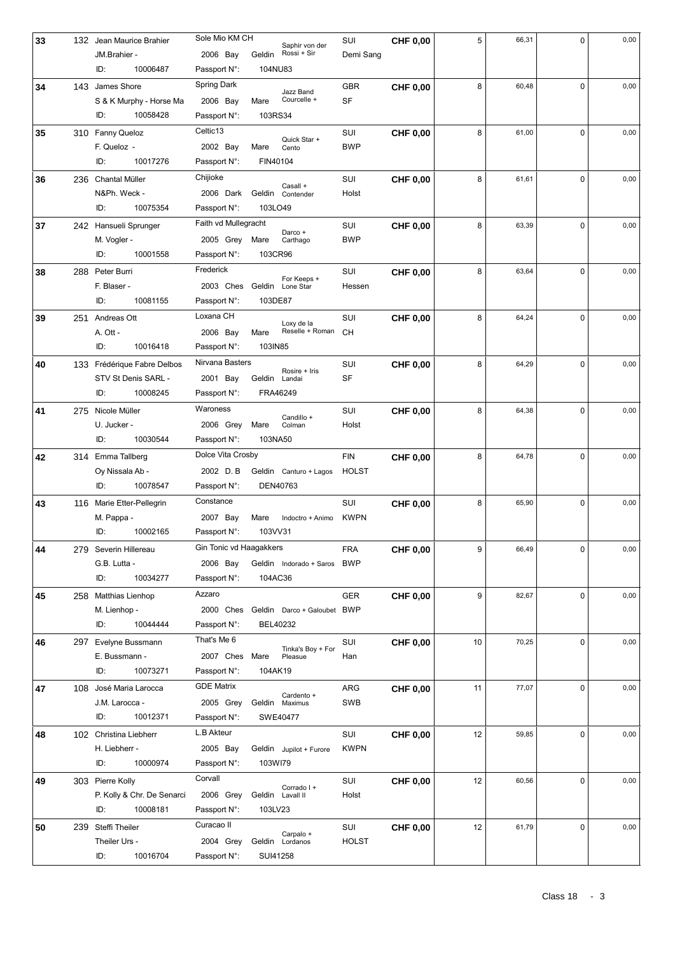| 33 | 132 Jean Maurice Brahier         | Sole Mio KM CH                        |                  | Saphir von der                | SUI          | <b>CHF 0,00</b> | 5  | 66,31 | $\mathbf 0$ | 0,00 |
|----|----------------------------------|---------------------------------------|------------------|-------------------------------|--------------|-----------------|----|-------|-------------|------|
|    | JM.Brahier -                     | 2006 Bay                              | Geldin           | Rossi + Sir                   | Demi Sang    |                 |    |       |             |      |
|    | 10006487<br>ID:                  | Passport N:                           | 104NU83          |                               |              |                 |    |       |             |      |
| 34 | 143 James Shore                  | <b>Spring Dark</b>                    |                  | Jazz Band                     | <b>GBR</b>   | <b>CHF 0,00</b> | 8  | 60,48 | $\Omega$    | 0,00 |
|    | S & K Murphy - Horse Ma          | 2006 Bay                              | Mare             | Courcelle +                   | SF           |                 |    |       |             |      |
|    | ID:<br>10058428                  | Passport N:                           | 103RS34          |                               |              |                 |    |       |             |      |
| 35 | 310 Fanny Queloz                 | Celtic13                              |                  |                               | SUI          | <b>CHF 0,00</b> | 8  | 61,00 | $\Omega$    | 0,00 |
|    | F. Queloz -                      | 2002 Bay                              | Mare             | Quick Star +<br>Cento         | <b>BWP</b>   |                 |    |       |             |      |
|    | 10017276<br>ID:                  | Passport N:                           | FIN40104         |                               |              |                 |    |       |             |      |
| 36 | 236 Chantal Müller               | Chijioke                              |                  |                               | SUI          | <b>CHF 0,00</b> | 8  | 61,61 | $\Omega$    | 0,00 |
|    | N&Ph. Weck -                     | 2006 Dark                             | Geldin           | Casall +<br>Contender         | Holst        |                 |    |       |             |      |
|    | ID:<br>10075354                  | Passport N:                           | 103LO49          |                               |              |                 |    |       |             |      |
| 37 | 242 Hansueli Sprunger            | Faith vd Mullegracht                  |                  |                               | SUI          | <b>CHF 0,00</b> | 8  | 63,39 | $\Omega$    | 0,00 |
|    | M. Vogler -                      | 2005 Grey Mare                        |                  | Darco +<br>Carthago           | <b>BWP</b>   |                 |    |       |             |      |
|    | ID:<br>10001558                  | Passport N:                           | 103CR96          |                               |              |                 |    |       |             |      |
| 38 | 288 Peter Burri                  | Frederick                             |                  |                               | SUI          | <b>CHF 0,00</b> | 8  | 63,64 | $\Omega$    | 0,00 |
|    | F. Blaser -                      | 2003 Ches Geldin                      |                  | For Keeps +<br>Lone Star      | Hessen       |                 |    |       |             |      |
|    | ID:<br>10081155                  | Passport N:                           | 103DE87          |                               |              |                 |    |       |             |      |
| 39 | 251 Andreas Ott                  | Loxana CH                             |                  |                               | SUI          | <b>CHF 0.00</b> | 8  | 64,24 | $\Omega$    | 0,00 |
|    | A. Ott -                         | 2006 Bay                              | Mare             | Loxy de la<br>Reselle + Roman | <b>CH</b>    |                 |    |       |             |      |
|    | ID:<br>10016418                  | Passport N:                           | 103IN85          |                               |              |                 |    |       |             |      |
| 40 | 133 Frédérique Fabre Delbos      | Nirvana Basters                       |                  |                               | SUI          | <b>CHF 0,00</b> | 8  | 64,29 | $\Omega$    | 0,00 |
|    | STV St Denis SARL -              | 2001 Bay                              | Geldin           | Rosire + Iris<br>Landai       | <b>SF</b>    |                 |    |       |             |      |
|    | 10008245<br>ID:                  | Passport N:                           | FRA46249         |                               |              |                 |    |       |             |      |
| 41 | 275 Nicole Müller                | Waroness                              |                  |                               | SUI          | <b>CHF 0,00</b> | 8  | 64,38 | $\mathbf 0$ | 0,00 |
|    | U. Jucker -                      | 2006 Grey                             | Mare             | Candillo +<br>Colman          | Holst        |                 |    |       |             |      |
|    | ID:<br>10030544                  | Passport N:                           | 103NA50          |                               |              |                 |    |       |             |      |
| 42 | 314 Emma Tallberg                | Dolce Vita Crosby                     |                  |                               | <b>FIN</b>   | <b>CHF 0,00</b> | 8  | 64,78 | $\Omega$    | 0,00 |
|    | Oy Nissala Ab -                  | 2002 D.B                              |                  | Geldin Canturo + Lagos        | <b>HOLST</b> |                 |    |       |             |      |
|    | 10078547<br>ID:                  | Passport N:                           | DEN40763         |                               |              |                 |    |       |             |      |
| 43 | 116 Marie Etter-Pellegrin        | Constance                             |                  |                               | SUI          | <b>CHF 0.00</b> | 8  | 65,90 | $\Omega$    | 0,00 |
|    | M. Pappa -                       | 2007 Bay                              | Mare             | Indoctro + Animo              | <b>KWPN</b>  |                 |    |       |             |      |
|    | ID:<br>10002165                  | Passport N:                           | 103VV31          |                               |              |                 |    |       |             |      |
| 44 | 279 Severin Hillereau            | Gin Tonic vd Haagakkers               |                  |                               | <b>FRA</b>   | <b>CHF 0,00</b> | 9  | 66,49 | 0           | 0,00 |
|    | G.B. Lutta -                     | 2006 Bay                              |                  | Geldin Indorado + Saros BWP   |              |                 |    |       |             |      |
|    | 10034277<br>ID:                  | Passport N:                           | 104AC36          |                               |              |                 |    |       |             |      |
| 45 | 258 Matthias Lienhop             | Azzaro                                |                  |                               | <b>GER</b>   | <b>CHF 0,00</b> | 9  | 82,67 | 0           | 0,00 |
|    | M. Lienhop -                     | 2000 Ches Geldin Darco + Galoubet BWP |                  |                               |              |                 |    |       |             |      |
|    | ID:<br>10044444                  | Passport N:                           | BEL40232         |                               |              |                 |    |       |             |      |
| 46 | 297 Evelyne Bussmann             | That's Me 6                           |                  |                               | SUI          | <b>CHF 0.00</b> | 10 | 70,25 | $\mathbf 0$ | 0,00 |
|    | E. Bussmann -                    | 2007 Ches                             | Mare             | Tinka's Boy + For<br>Pleasue  | Han          |                 |    |       |             |      |
|    | ID:<br>10073271                  | Passport N:                           | 104AK19          |                               |              |                 |    |       |             |      |
|    | 108 José Maria Larocca           | GDE Matrix                            |                  |                               | ARG          |                 |    | 77,07 | 0           | 0,00 |
| 47 | J.M. Larocca -                   | 2005 Grey                             | Geldin           | Cardento +<br>Maximus         | SWB          | <b>CHF 0,00</b> | 11 |       |             |      |
|    | ID:<br>10012371                  | Passport N:                           | SWE40477         |                               |              |                 |    |       |             |      |
|    |                                  | L.B Akteur                            |                  |                               |              |                 |    |       | 0           |      |
| 48 | 102 Christina Liebherr           |                                       |                  |                               | SUI          | <b>CHF 0,00</b> | 12 | 59,85 |             | 0,00 |
|    | H. Liebherr -<br>ID:<br>10000974 | 2005 Bay<br>Passport N:               | 103WI79          | Geldin Jupilot + Furore       | <b>KWPN</b>  |                 |    |       |             |      |
|    |                                  | Corvall                               |                  |                               |              |                 |    |       |             |      |
| 49 | 303 Pierre Kolly                 |                                       |                  | Corrado I +                   | SUI          | <b>CHF 0,00</b> | 12 | 60,56 | 0           | 0,00 |
|    | P. Kolly & Chr. De Senarci       | 2006 Grey                             | Geldin Lavall II |                               | Holst        |                 |    |       |             |      |
|    |                                  |                                       |                  |                               |              |                 |    |       |             |      |
|    | 10008181<br>ID:                  | Passport N:                           | 103LV23          |                               |              |                 |    |       |             |      |
| 50 | 239 Steffi Theiler               | Curacao II                            |                  | Carpalo +                     | SUI          | <b>CHF 0,00</b> | 12 | 61,79 | $\mathbf 0$ | 0,00 |
|    | Theiler Urs -<br>ID:<br>10016704 | 2004 Grey<br>Passport N:              | SUI41258         | Geldin Lordanos               | <b>HOLST</b> |                 |    |       |             |      |